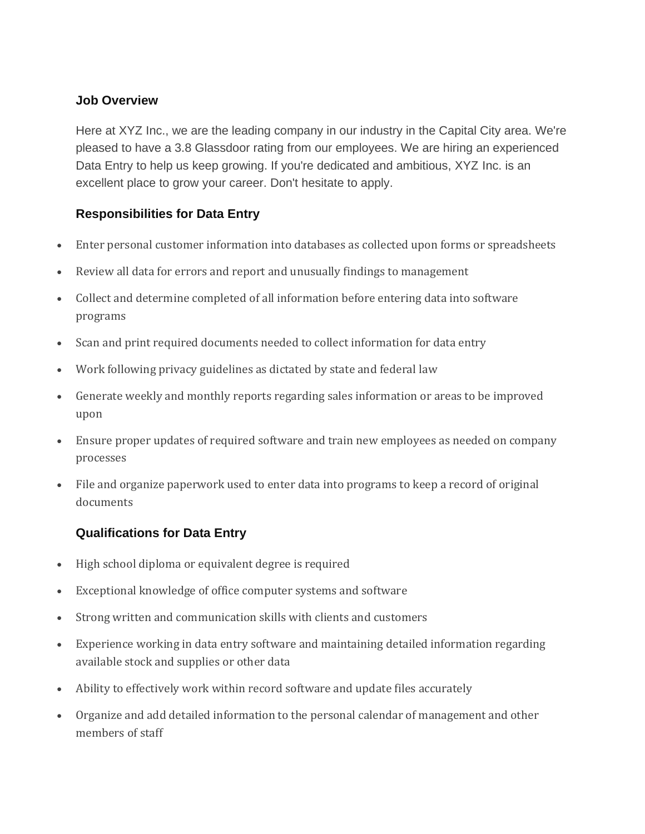## **Job Overview**

Here at XYZ Inc., we are the leading company in our industry in the Capital City area. We're pleased to have a 3.8 Glassdoor rating from our employees. We are hiring an experienced Data Entry to help us keep growing. If you're dedicated and ambitious, XYZ Inc. is an excellent place to grow your career. Don't hesitate to apply.

## **Responsibilities for Data Entry**

- Enter personal customer information into databases as collected upon forms or spreadsheets
- Review all data for errors and report and unusually findings to management
- Collect and determine completed of all information before entering data into software programs
- Scan and print required documents needed to collect information for data entry
- Work following privacy guidelines as dictated by state and federal law
- Generate weekly and monthly reports regarding sales information or areas to be improved upon
- Ensure proper updates of required software and train new employees as needed on company processes
- File and organize paperwork used to enter data into programs to keep a record of original documents

## **Qualifications for Data Entry**

- High school diploma or equivalent degree is required
- Exceptional knowledge of office computer systems and software
- Strong written and communication skills with clients and customers
- Experience working in data entry software and maintaining detailed information regarding available stock and supplies or other data
- Ability to effectively work within record software and update files accurately
- Organize and add detailed information to the personal calendar of management and other members of staff